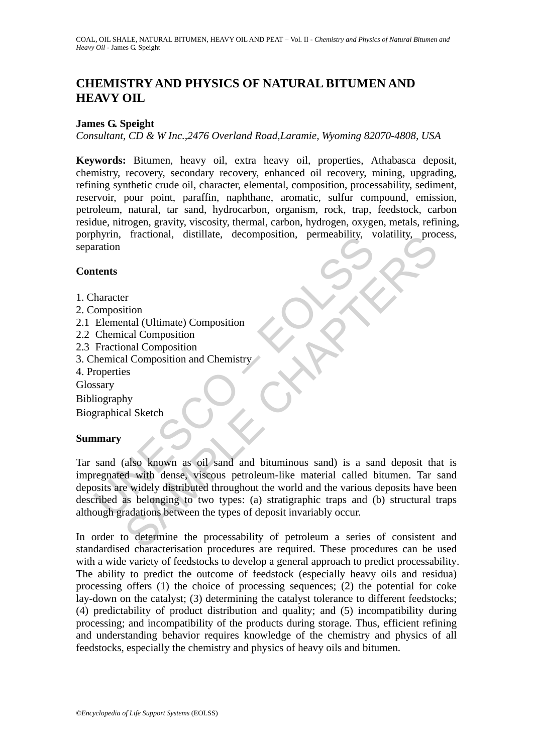# **CHEMISTRY AND PHYSICS OF NATURAL BITUMEN AND HEAVY OIL**

### **James G. Speight**

*Consultant, CD & W Inc.,2476 Overland Road,Laramie, Wyoming 82070-4808, USA* 

**Keywords:** Bitumen, heavy oil, extra heavy oil, properties, Athabasca deposit, chemistry, recovery, secondary recovery, enhanced oil recovery, mining, upgrading, refining synthetic crude oil, character, elemental, composition, processability, sediment, reservoir, pour point, paraffin, naphthane, aromatic, sulfur compound, emission, petroleum, natural, tar sand, hydrocarbon, organism, rock, trap, feedstock, carbon residue, nitrogen, gravity, viscosity, thermal, carbon, hydrogen, oxygen, metals, refining, porphyrin, fractional, distillate, decomposition, permeability, volatility, process, separation

### **Contents**

- 1. Character
- 2. Composition
- 2.1 Elemental (Ultimate) Composition
- 2.2 Chemical Composition
- 2.3 Fractional Composition
- 3. Chemical Composition and Chemistry
- 4. Properties
- Glossary

Bibliography

Biographical Sketch

### **Summary**

Manuscript (Manuscript)<br>
The Composition<br>
The Manuscript (Manuscript)<br>
Chemical Composition<br>
Elemental (Ultimate) Composition<br>
Chemical Composition<br>
Chemical Composition<br>
Tractional Composition<br>
Tractional Composition<br>
Tra Tractional, distillate, decomposition, permeasinty, volatility, production<br>tail (Ultimate) Composition<br>cal Composition<br>and Composition and Chemistry<br>ss<br>thy<br>the al Sketch<br>also known as oil sand and bituminous sand) is a san Tar sand (also known as oil sand and bituminous sand) is a sand deposit that is impregnated with dense, viscous petroleum-like material called bitumen. Tar sand deposits are widely distributed throughout the world and the various deposits have been described as belonging to two types: (a) stratigraphic traps and (b) structural traps although gradations between the types of deposit invariably occur.

In order to determine the processability of petroleum a series of consistent and standardised characterisation procedures are required. These procedures can be used with a wide variety of feedstocks to develop a general approach to predict processability. The ability to predict the outcome of feedstock (especially heavy oils and residua) processing offers (1) the choice of processing sequences; (2) the potential for coke lay-down on the catalyst; (3) determining the catalyst tolerance to different feedstocks; (4) predictability of product distribution and quality; and (5) incompatibility during processing; and incompatibility of the products during storage. Thus, efficient refining and understanding behavior requires knowledge of the chemistry and physics of all feedstocks, especially the chemistry and physics of heavy oils and bitumen.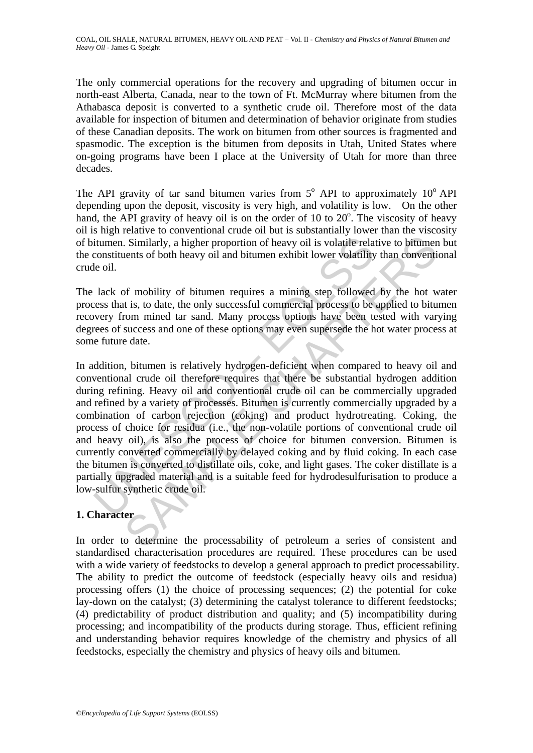The only commercial operations for the recovery and upgrading of bitumen occur in north-east Alberta, Canada, near to the town of Ft. McMurray where bitumen from the Athabasca deposit is converted to a synthetic crude oil. Therefore most of the data available for inspection of bitumen and determination of behavior originate from studies of these Canadian deposits. The work on bitumen from other sources is fragmented and spasmodic. The exception is the bitumen from deposits in Utah, United States where on-going programs have been I place at the University of Utah for more than three decades.

The API gravity of tar sand bitumen varies from  $5^{\circ}$  API to approximately  $10^{\circ}$  API depending upon the deposit, viscosity is very high, and volatility is low. On the other hand, the API gravity of heavy oil is on the order of 10 to  $20^\circ$ . The viscosity of heavy oil is high relative to conventional crude oil but is substantially lower than the viscosity of bitumen. Similarly, a higher proportion of heavy oil is volatile relative to bitumen but the constituents of both heavy oil and bitumen exhibit lower volatility than conventional crude oil.

The lack of mobility of bitumen requires a mining step followed by the hot water process that is, to date, the only successful commercial process to be applied to bitumen recovery from mined tar sand. Many process options have been tested with varying degrees of success and one of these options may even supersede the hot water process at some future date.

itumen. Similarly, a higher proportion of heavy oil is volatile rela<br>constituents of both heavy oil and bitumen exhibit lower volatility<br>le oil.<br>lack of mobility of bitumen requires a mining step followed<br>ess that is, to d Similarly, a higher proportion of heavy oil is volatile relative to bittments of both heavy oil and bittumen exhibit lower volatility than conventionents of both heavy oil and bittumen exhibit lower volatility than convent In addition, bitumen is relatively hydrogen-deficient when compared to heavy oil and conventional crude oil therefore requires that there be substantial hydrogen addition during refining. Heavy oil and conventional crude oil can be commercially upgraded and refined by a variety of processes. Bitumen is currently commercially upgraded by a combination of carbon rejection (coking) and product hydrotreating. Coking, the process of choice for residua (i.e., the non-volatile portions of conventional crude oil and heavy oil), is also the process of choice for bitumen conversion. Bitumen is currently converted commercially by delayed coking and by fluid coking. In each case the bitumen is converted to distillate oils, coke, and light gases. The coker distillate is a partially upgraded material and is a suitable feed for hydrodesulfurisation to produce a low-sulfur synthetic crude oil.

## **1. Character**

In order to determine the processability of petroleum a series of consistent and standardised characterisation procedures are required. These procedures can be used with a wide variety of feedstocks to develop a general approach to predict processability. The ability to predict the outcome of feedstock (especially heavy oils and residua) processing offers (1) the choice of processing sequences; (2) the potential for coke lay-down on the catalyst; (3) determining the catalyst tolerance to different feedstocks; (4) predictability of product distribution and quality; and (5) incompatibility during processing; and incompatibility of the products during storage. Thus, efficient refining and understanding behavior requires knowledge of the chemistry and physics of all feedstocks, especially the chemistry and physics of heavy oils and bitumen.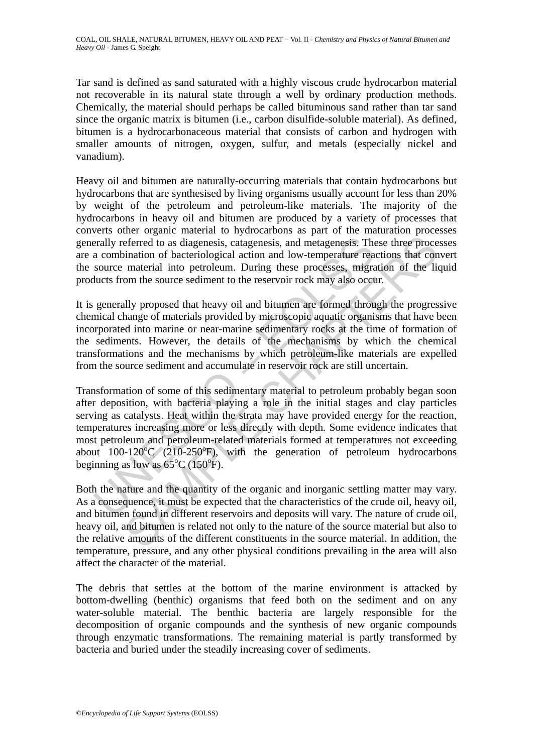Tar sand is defined as sand saturated with a highly viscous crude hydrocarbon material not recoverable in its natural state through a well by ordinary production methods. Chemically, the material should perhaps be called bituminous sand rather than tar sand since the organic matrix is bitumen (i.e., carbon disulfide-soluble material). As defined, bitumen is a hydrocarbonaceous material that consists of carbon and hydrogen with smaller amounts of nitrogen, oxygen, sulfur, and metals (especially nickel and vanadium).

Heavy oil and bitumen are naturally-occurring materials that contain hydrocarbons but hydrocarbons that are synthesised by living organisms usually account for less than 20% by weight of the petroleum and petroleum-like materials. The majority of the hydrocarbons in heavy oil and bitumen are produced by a variety of processes that converts other organic material to hydrocarbons as part of the maturation processes generally referred to as diagenesis, catagenesis, and metagenesis. These three processes are a combination of bacteriological action and low-temperature reactions that convert the source material into petroleum. During these processes, migration of the liquid products from the source sediment to the reservoir rock may also occur.

It is generally proposed that heavy oil and bitumen are formed through the progressive chemical change of materials provided by microscopic aquatic organisms that have been incorporated into marine or near-marine sedimentary rocks at the time of formation of the sediments. However, the details of the mechanisms by which the chemical transformations and the mechanisms by which petroleum-like materials are expelled from the source sediment and accumulate in reservoir rock are still uncertain.

erally referred to as diagenesis, catagenesis, and metagenesis. The a combination of bacteriological action and low-temperature rea<br>source material into petroleum. During these processes, migratucts from the source sedime eferred to as diagenesis, catagenesis, and metagenesis. These three procenties<br>eferred to as diagenesis, catagenesis, and metagenesis. These three procentination of bacteriological action and low-temperature reactions tha Transformation of some of this sedimentary material to petroleum probably began soon after deposition, with bacteria playing a role in the initial stages and clay particles serving as catalysts. Heat within the strata may have provided energy for the reaction, temperatures increasing more or less directly with depth. Some evidence indicates that most petroleum and petroleum-related materials formed at temperatures not exceeding about  $100-120^{\circ}$ C (210-250°F), with the generation of petroleum hydrocarbons beginning as low as  $65^{\circ}$ C (150 $^{\circ}$ F).

Both the nature and the quantity of the organic and inorganic settling matter may vary. As a consequence, it must be expected that the characteristics of the crude oil, heavy oil, and bitumen found in different reservoirs and deposits will vary. The nature of crude oil, heavy oil, and bitumen is related not only to the nature of the source material but also to the relative amounts of the different constituents in the source material. In addition, the temperature, pressure, and any other physical conditions prevailing in the area will also affect the character of the material.

The debris that settles at the bottom of the marine environment is attacked by bottom-dwelling (benthic) organisms that feed both on the sediment and on any water-soluble material. The benthic bacteria are largely responsible for the decomposition of organic compounds and the synthesis of new organic compounds through enzymatic transformations. The remaining material is partly transformed by bacteria and buried under the steadily increasing cover of sediments.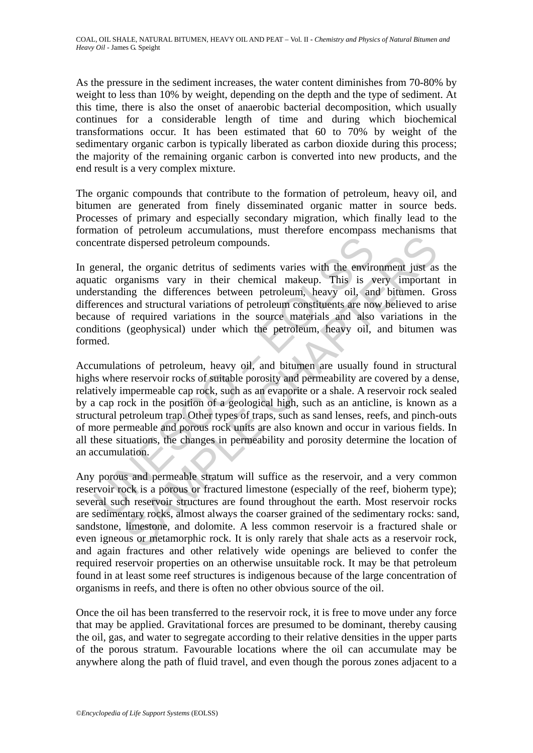As the pressure in the sediment increases, the water content diminishes from 70-80% by weight to less than 10% by weight, depending on the depth and the type of sediment. At this time, there is also the onset of anaerobic bacterial decomposition, which usually continues for a considerable length of time and during which biochemical transformations occur. It has been estimated that 60 to 70% by weight of the sedimentary organic carbon is typically liberated as carbon dioxide during this process; the majority of the remaining organic carbon is converted into new products, and the end result is a very complex mixture.

The organic compounds that contribute to the formation of petroleum, heavy oil, and bitumen are generated from finely disseminated organic matter in source beds. Processes of primary and especially secondary migration, which finally lead to the formation of petroleum accumulations, must therefore encompass mechanisms that concentrate dispersed petroleum compounds.

In general, the organic detritus of sediments varies with the environment just as the aquatic organisms vary in their chemical makeup. This is very important in understanding the differences between petroleum, heavy oil, and bitumen. Gross differences and structural variations of petroleum constituents are now believed to arise because of required variations in the source materials and also variations in the conditions (geophysical) under which the petroleum, heavy oil, and bitumen was formed.

centrate dispersed petroleum compounds.<br>
seneral, the organic detritus of sediments varies with the enviration<br>
ditic organisms vary in their chemical makeup. This is v<br>
are transiding the differences between petroleum, he e dispersed petroleum compounds.<br>
the organic detritus of sediments varies with the environment just as<br>
ganisms vary in their chemical makeup. This is very important<br>
ing the differences between petroleum, heavy oil, and Accumulations of petroleum, heavy oil, and bitumen are usually found in structural highs where reservoir rocks of suitable porosity and permeability are covered by a dense, relatively impermeable cap rock, such as an evaporite or a shale. A reservoir rock sealed by a cap rock in the position of a geological high, such as an anticline, is known as a structural petroleum trap. Other types of traps, such as sand lenses, reefs, and pinch-outs of more permeable and porous rock units are also known and occur in various fields. In all these situations, the changes in permeability and porosity determine the location of an accumulation.

Any porous and permeable stratum will suffice as the reservoir, and a very common reservoir rock is a porous or fractured limestone (especially of the reef, bioherm type); several such reservoir structures are found throughout the earth. Most reservoir rocks are sedimentary rocks, almost always the coarser grained of the sedimentary rocks: sand, sandstone, limestone, and dolomite. A less common reservoir is a fractured shale or even igneous or metamorphic rock. It is only rarely that shale acts as a reservoir rock, and again fractures and other relatively wide openings are believed to confer the required reservoir properties on an otherwise unsuitable rock. It may be that petroleum found in at least some reef structures is indigenous because of the large concentration of organisms in reefs, and there is often no other obvious source of the oil.

Once the oil has been transferred to the reservoir rock, it is free to move under any force that may be applied. Gravitational forces are presumed to be dominant, thereby causing the oil, gas, and water to segregate according to their relative densities in the upper parts of the porous stratum. Favourable locations where the oil can accumulate may be anywhere along the path of fluid travel, and even though the porous zones adjacent to a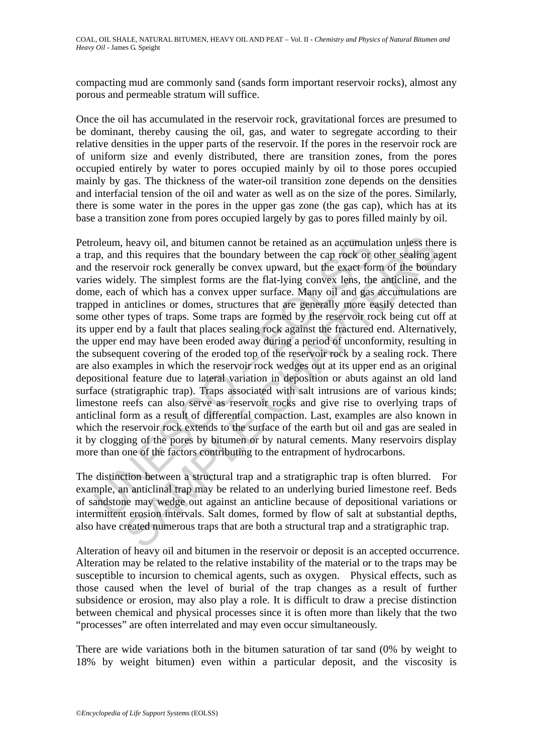compacting mud are commonly sand (sands form important reservoir rocks), almost any porous and permeable stratum will suffice.

Once the oil has accumulated in the reservoir rock, gravitational forces are presumed to be dominant, thereby causing the oil, gas, and water to segregate according to their relative densities in the upper parts of the reservoir. If the pores in the reservoir rock are of uniform size and evenly distributed, there are transition zones, from the pores occupied entirely by water to pores occupied mainly by oil to those pores occupied mainly by gas. The thickness of the water-oil transition zone depends on the densities and interfacial tension of the oil and water as well as on the size of the pores. Similarly, there is some water in the pores in the upper gas zone (the gas cap), which has at its base a transition zone from pores occupied largely by gas to pores filled mainly by oil.

oleum, heavy oil, and bitumen cannot be retained as an accumula<br>pp, and this requires that the boundary between the cap rock or of<br>the reservoir rock generally be convex upward, but the exact for<br>e.e. widely. The simplest heavy oil, and bitumen cannot be retained as an accumulation unless the this requires that the boundary between the cap rock or other sealing a ervoiv rock generally be convex upward, but the exact form of the bound rely e Petroleum, heavy oil, and bitumen cannot be retained as an accumulation unless there is a trap, and this requires that the boundary between the cap rock or other sealing agent and the reservoir rock generally be convex upward, but the exact form of the boundary varies widely. The simplest forms are the flat-lying convex lens, the anticline, and the dome, each of which has a convex upper surface. Many oil and gas accumulations are trapped in anticlines or domes, structures that are generally more easily detected than some other types of traps. Some traps are formed by the reservoir rock being cut off at its upper end by a fault that places sealing rock against the fractured end. Alternatively, the upper end may have been eroded away during a period of unconformity, resulting in the subsequent covering of the eroded top of the reservoir rock by a sealing rock. There are also examples in which the reservoir rock wedges out at its upper end as an original depositional feature due to lateral variation in deposition or abuts against an old land surface (stratigraphic trap). Traps associated with salt intrusions are of various kinds; limestone reefs can also serve as reservoir rocks and give rise to overlying traps of anticlinal form as a result of differential compaction. Last, examples are also known in which the reservoir rock extends to the surface of the earth but oil and gas are sealed in it by clogging of the pores by bitumen or by natural cements. Many reservoirs display more than one of the factors contributing to the entrapment of hydrocarbons.

The distinction between a structural trap and a stratigraphic trap is often blurred. For example, an anticlinal trap may be related to an underlying buried limestone reef. Beds of sandstone may wedge out against an anticline because of depositional variations or intermittent erosion intervals. Salt domes, formed by flow of salt at substantial depths, also have created numerous traps that are both a structural trap and a stratigraphic trap.

Alteration of heavy oil and bitumen in the reservoir or deposit is an accepted occurrence. Alteration may be related to the relative instability of the material or to the traps may be susceptible to incursion to chemical agents, such as oxygen. Physical effects, such as those caused when the level of burial of the trap changes as a result of further subsidence or erosion, may also play a role. It is difficult to draw a precise distinction between chemical and physical processes since it is often more than likely that the two "processes" are often interrelated and may even occur simultaneously.

There are wide variations both in the bitumen saturation of tar sand (0% by weight to 18% by weight bitumen) even within a particular deposit, and the viscosity is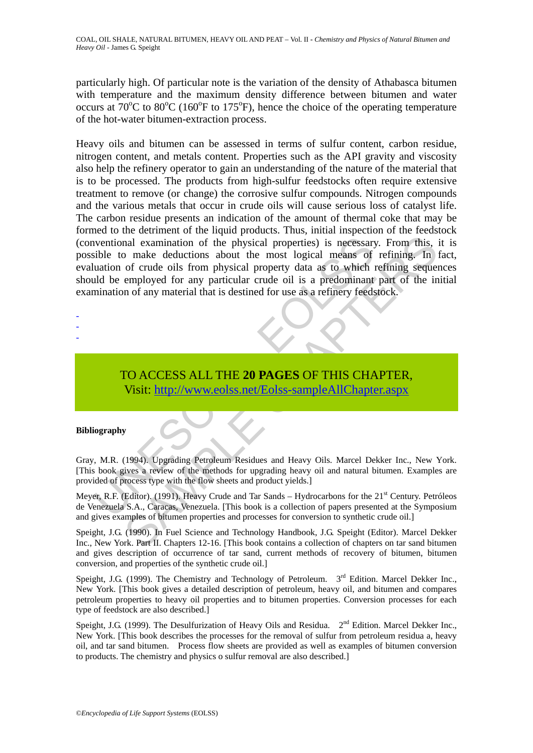particularly high. Of particular note is the variation of the density of Athabasca bitumen with temperature and the maximum density difference between bitumen and water occurs at  $70^{\circ}$ C to  $80^{\circ}$ C (160 $^{\circ}$ F to 175 $^{\circ}$ F), hence the choice of the operating temperature of the hot-water bitumen-extraction process.

is a constrained a constrained a method in the most dealer<br>time in the most defined a state of more than the most dealer and of the employed for any particular crude oil is a predominant<br>ind be employed for any particular mal examination of the physical properties) is necessary. From this,<br>
b make deductions about the most logical means of refining. In<br>
of crude oils from physical property data as to which refining sequence<br>
employed for an Heavy oils and bitumen can be assessed in terms of sulfur content, carbon residue, nitrogen content, and metals content. Properties such as the API gravity and viscosity also help the refinery operator to gain an understanding of the nature of the material that is to be processed. The products from high-sulfur feedstocks often require extensive treatment to remove (or change) the corrosive sulfur compounds. Nitrogen compounds and the various metals that occur in crude oils will cause serious loss of catalyst life. The carbon residue presents an indication of the amount of thermal coke that may be formed to the detriment of the liquid products. Thus, initial inspection of the feedstock (conventional examination of the physical properties) is necessary. From this, it is possible to make deductions about the most logical means of refining. In fact, evaluation of crude oils from physical property data as to which refining sequences should be employed for any particular crude oil is a predominant part of the initial examination of any material that is destined for use as a refinery feedstock.

- -
- -
- -

TO ACCESS ALL THE **20 PAGES** OF THIS CHAPTER, Visit: http://www.eolss.net/Eolss-sampleAllChapter.aspx

#### **Bibliography**

Gray, M.R. (1994). Upgrading Petroleum Residues and Heavy Oils. Marcel Dekker Inc., New York. [This book gives a review of the methods for upgrading heavy oil and natural bitumen. Examples are provided of process type with the flow sheets and product yields.]

Meyer, R.F. (Editor). (1991). Heavy Crude and Tar Sands – Hydrocarbons for the 21<sup>st</sup> Century. Petróleos de Venezuela S.A., Caracas, Venezuela. [This book is a collection of papers presented at the Symposium and gives examples of bitumen properties and processes for conversion to synthetic crude oil.]

Speight, J.G. (1990). In Fuel Science and Technology Handbook, J.G. Speight (Editor). Marcel Dekker Inc., New York. Part II. Chapters 12-16. [This book contains a collection of chapters on tar sand bitumen and gives description of occurrence of tar sand, current methods of recovery of bitumen, bitumen conversion, and properties of the synthetic crude oil.]

Speight, J.G. (1999). The Chemistry and Technology of Petroleum.  $3<sup>rd</sup>$  Edition. Marcel Dekker Inc., New York. [This book gives a detailed description of petroleum, heavy oil, and bitumen and compares petroleum properties to heavy oil properties and to bitumen properties. Conversion processes for each type of feedstock are also described.]

Speight, J.G. (1999). The Desulfurization of Heavy Oils and Residua.  $2<sup>nd</sup>$  Edition. Marcel Dekker Inc., New York. [This book describes the processes for the removal of sulfur from petroleum residua a, heavy oil, and tar sand bitumen. Process flow sheets are provided as well as examples of bitumen conversion to products. The chemistry and physics o sulfur removal are also described.]